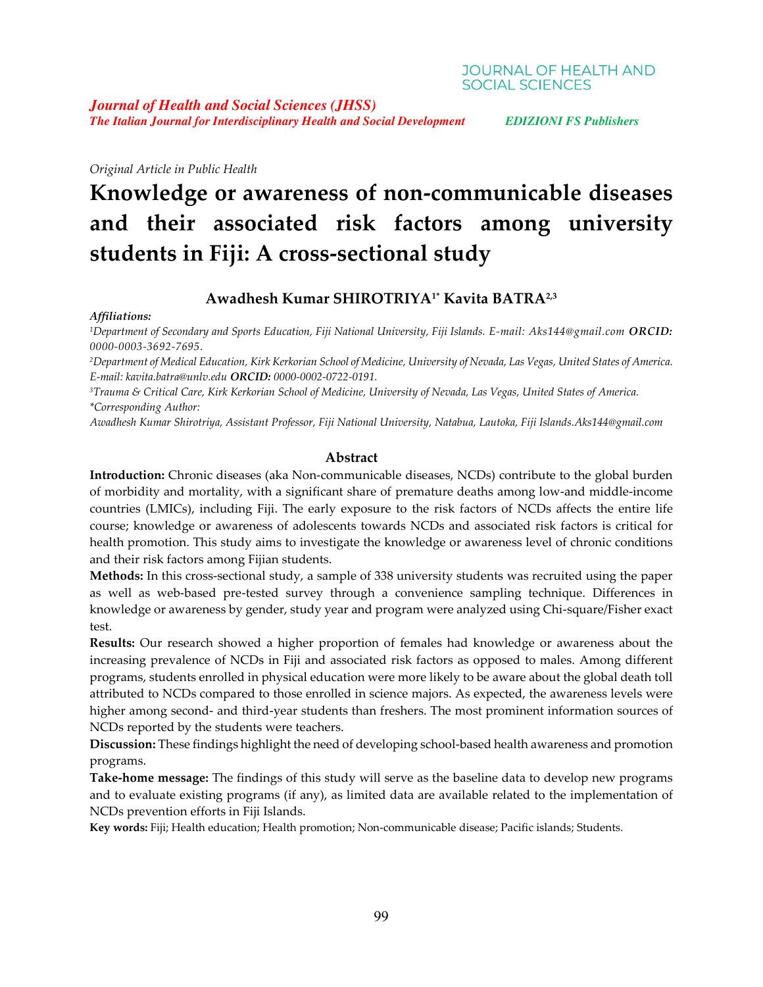## **JOURNAL OF HEALTH AND SOCIAL SCIENCES**

*Journal of Health and Social Sciences (JHSS) The Italian Journal for Interdisciplinary Health and Social Development EDIZIONI FS Publishers*

*Original Article in Public Health*

# **Knowledge or awareness of non-communicable diseases and their associated risk factors among university students in Fiji: A cross-sectional study**

## **Awadhesh Kumar SHIROTRIYA1\* Kavita BATRA2,3**

## *Affiliations:*

*1Department of Secondary and Sports Education, Fiji National University, Fiji Islands. E-mail: [Aks144@gmail.com](mailto:Aks144@gmail.com) ORCID: 0000-0003-3692-7695.*

<sup>2</sup>Department of Medical Education, Kirk Kerkorian School of Medicine, University of Nevada, Las Vegas, United States of America. *E-mail: [kavita.batra@unlv.edu](mailto:kavita.batra@unlv.edu) ORCID: 0000-0002-0722-0191.*

<sup>3</sup>Trauma & Critical Care, Kirk Kerkorian School of Medicine, University of Nevada, Las Vegas, United States of America. *\*Corresponding Author:*

*Awadhesh Kumar Shirotriya, Assistant Professor, Fiji National University, Natabua, Lautoka, Fiji Islands.Aks144@gmail.com*

#### **Abstract**

**Introduction:** Chronic diseases (aka Non-communicable diseases, NCDs) contribute to the global burden of morbidity and mortality, with a significant share of premature deaths among low-and middle-income countries (LMICs), including Fiji. The early exposure to the risk factors of NCDs affects the entire life course; knowledge or awareness of adolescents towards NCDs and associated risk factors is critical for health promotion. This study aims to investigate the knowledge or awareness level of chronic conditions and their risk factors among Fijian students.

**Methods:** In this cross-sectional study, a sample of 338 university students was recruited using the paper as well as web-based pre-tested survey through a convenience sampling technique. Differences in knowledge or awareness by gender, study year and program were analyzed using Chi-square/Fisher exact test.

**Results:** Our research showed a higher proportion of females had knowledge or awareness about the increasing prevalence of NCDs in Fiji and associated risk factors as opposed to males. Among different programs, students enrolled in physical education were more likely to be aware about the global death toll attributed to NCDs compared to those enrolled in science majors. As expected, the awareness levels were higher among second- and third-year students than freshers. The most prominent information sources of NCDs reported by the students were teachers.

**Discussion:** These findings highlight the need of developing school-based health awareness and promotion programs.

**Take-home message:** The findings of this study will serve as the baseline data to develop new programs and to evaluate existing programs (if any), as limited data are available related to the implementation of NCDs prevention efforts in Fiji Islands.

**Key words:** Fiji; Health education; Health promotion; Non-communicable disease; Pacific islands; Students.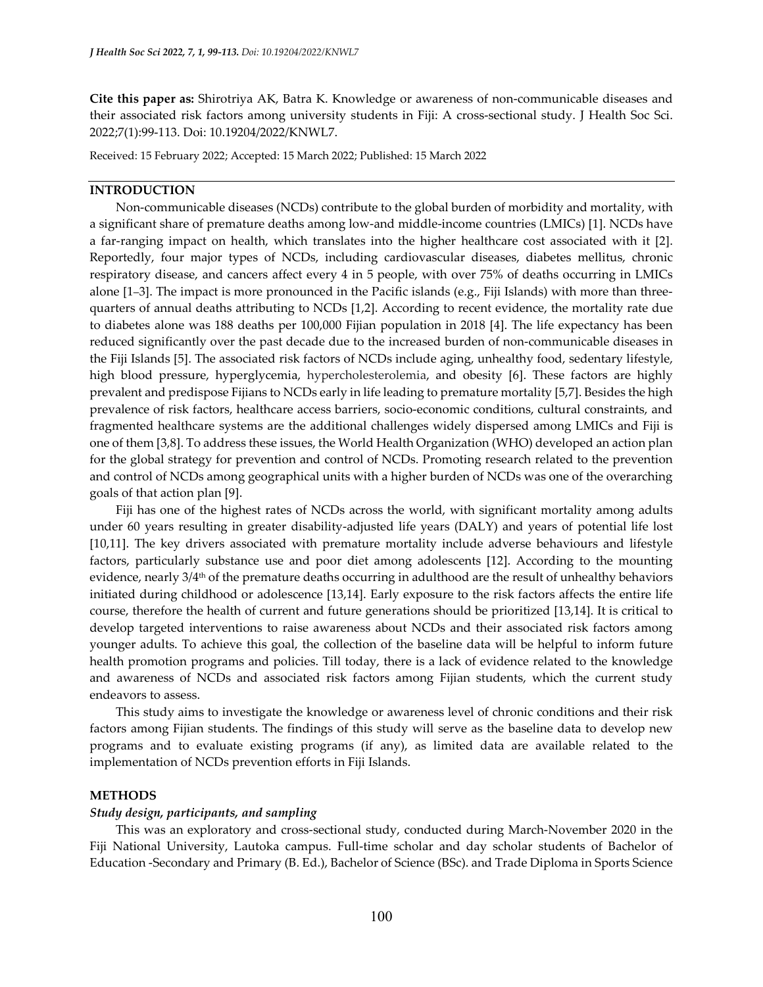**Cite this paper as:** Shirotriya AK, Batra K. Knowledge or awareness of non-communicable diseases and their associated risk factors among university students in Fiji: A cross-sectional study. J Health Soc Sci. 2022;7(1):99-113. Doi: 10.19204/2022/KNWL7.

Received: 15 February 2022; Accepted: 15 March 2022; Published: 15 March 2022

#### **INTRODUCTION**

Non-communicable diseases (NCDs) contribute to the global burden of morbidity and mortality, with a significant share of premature deaths among low-and middle-income countries (LMICs) [1]. NCDs have a far-ranging impact on health, which translates into the higher healthcare cost associated with it [2]. Reportedly, four major types of NCDs, including cardiovascular diseases, diabetes mellitus, chronic respiratory disease, and cancers affect every 4 in 5 people, with over 75% of deaths occurring in LMICs alone [1–3]. The impact is more pronounced in the Pacific islands (e.g., Fiji Islands) with more than threequarters of annual deaths attributing to NCDs [1,2]. According to recent evidence, the mortality rate due to diabetes alone was 188 deaths per 100,000 Fijian population in 2018 [4]. The life expectancy has been reduced significantly over the past decade due to the increased burden of non-communicable diseases in the Fiji Islands [5]. The associated risk factors of NCDs include aging, unhealthy food, sedentary lifestyle, high blood pressure, hyperglycemia, hypercholesterolemia, and obesity [6]. These factors are highly prevalent and predispose Fijians to NCDs early in life leading to premature mortality [5,7]. Besides the high prevalence of risk factors, healthcare access barriers, socio-economic conditions, cultural constraints, and fragmented healthcare systems are the additional challenges widely dispersed among LMICs and Fiji is one of them [3,8]. To address these issues, the World Health Organization (WHO) developed an action plan for the global strategy for prevention and control of NCDs. Promoting research related to the prevention and control of NCDs among geographical units with a higher burden of NCDs was one of the overarching goals of that action plan [9].

Fiji has one of the highest rates of NCDs across the world, with significant mortality among adults under 60 years resulting in greater disability-adjusted life years (DALY) and years of potential life lost [10,11]. The key drivers associated with premature mortality include adverse behaviours and lifestyle factors, particularly substance use and poor diet among adolescents [12]. According to the mounting evidence, nearly 3/4<sup>th</sup> of the premature deaths occurring in adulthood are the result of unhealthy behaviors initiated during childhood or adolescence [13,14]. Early exposure to the risk factors affects the entire life course, therefore the health of current and future generations should be prioritized [13,14]. It is critical to develop targeted interventions to raise awareness about NCDs and their associated risk factors among younger adults. To achieve this goal, the collection of the baseline data will be helpful to inform future health promotion programs and policies. Till today, there is a lack of evidence related to the knowledge and awareness of NCDs and associated risk factors among Fijian students, which the current study endeavors to assess.

This study aims to investigate the knowledge or awareness level of chronic conditions and their risk factors among Fijian students. The findings of this study will serve as the baseline data to develop new programs and to evaluate existing programs (if any), as limited data are available related to the implementation of NCDs prevention efforts in Fiji Islands.

## **METHODS**

#### *Study design, participants, and sampling*

This was an exploratory and cross-sectional study, conducted during March-November 2020 in the Fiji National University, Lautoka campus. Full-time scholar and day scholar students of Bachelor of Education -Secondary and Primary (B. Ed.), Bachelor of Science (BSc). and Trade Diploma in Sports Science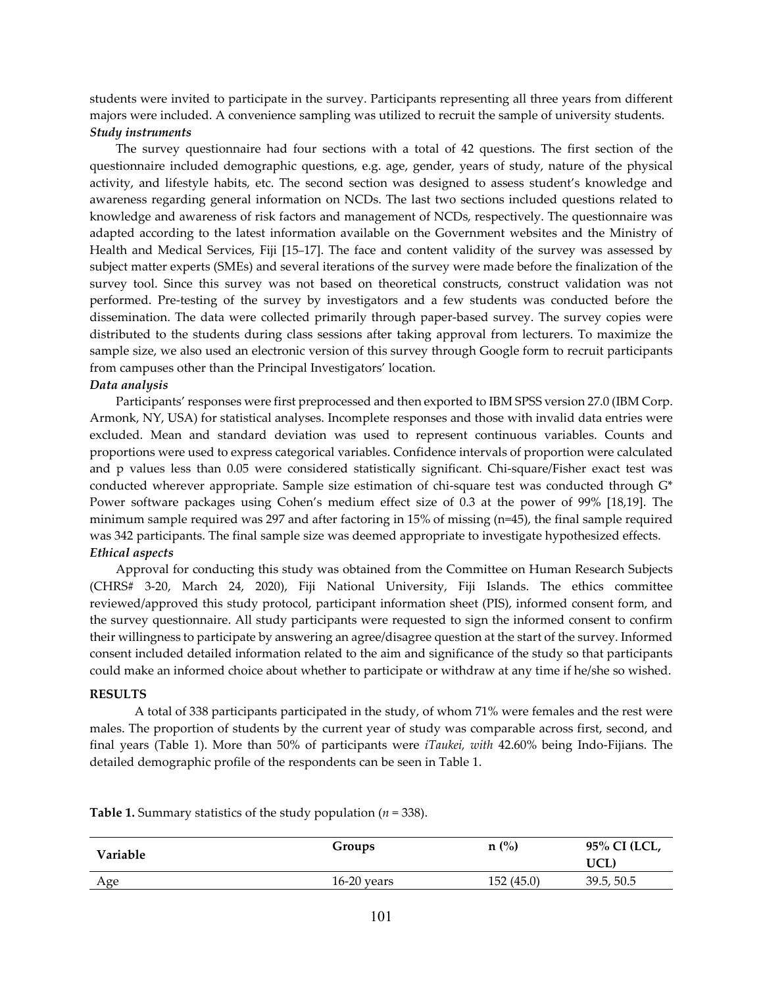students were invited to participate in the survey. Participants representing all three years from different majors were included. A convenience sampling was utilized to recruit the sample of university students. *Study instruments*

The survey questionnaire had four sections with a total of 42 questions. The first section of the questionnaire included demographic questions, e.g. age, gender, years of study, nature of the physical activity, and lifestyle habits, etc. The second section was designed to assess student's knowledge and awareness regarding general information on NCDs. The last two sections included questions related to knowledge and awareness of risk factors and management of NCDs, respectively. The questionnaire was adapted according to the latest information available on the Government websites and the Ministry of Health and Medical Services, Fiji [15–17]. The face and content validity of the survey was assessed by subject matter experts (SMEs) and several iterations of the survey were made before the finalization of the survey tool. Since this survey was not based on theoretical constructs, construct validation was not performed. Pre-testing of the survey by investigators and a few students was conducted before the dissemination. The data were collected primarily through paper-based survey. The survey copies were distributed to the students during class sessions after taking approval from lecturers. To maximize the sample size, we also used an electronic version of this survey through Google form to recruit participants from campuses other than the Principal Investigators' location.

#### *Data analysis*

Participants' responses were first preprocessed and then exported to IBM SPSS version 27.0 (IBM Corp. Armonk, NY, USA) for statistical analyses. Incomplete responses and those with invalid data entries were excluded. Mean and standard deviation was used to represent continuous variables. Counts and proportions were used to express categorical variables. Confidence intervals of proportion were calculated and p values less than 0.05 were considered statistically significant. Chi-square/Fisher exact test was conducted wherever appropriate. Sample size estimation of chi-square test was conducted through G\* Power software packages using Cohen's medium effect size of 0.3 at the power of 99% [18,19]. The minimum sample required was 297 and after factoring in 15% of missing (n=45), the final sample required was 342 participants. The final sample size was deemed appropriate to investigate hypothesized effects. *Ethical aspects*

Approval for conducting this study was obtained from the Committee on Human Research Subjects (CHRS# 3-20, March 24, 2020), Fiji National University, Fiji Islands. The ethics committee reviewed/approved this study protocol, participant information sheet (PIS), informed consent form, and the survey questionnaire. All study participants were requested to sign the informed consent to confirm their willingness to participate by answering an agree/disagree question at the start of the survey. Informed consent included detailed information related to the aim and significance of the study so that participants could make an informed choice about whether to participate or withdraw at any time if he/she so wished.

#### **RESULTS**

A total of 338 participants participated in the study, of whom 71% were females and the rest were males. The proportion of students by the current year of study was comparable across first, second, and final years (Table 1). More than 50% of participants were *iTaukei, with* 42.60% being Indo-Fijians. The detailed demographic profile of the respondents can be seen in Table 1.

| Variable | Groups        | $n$ (%)   | 95% CI (LCL,<br>UCL. |
|----------|---------------|-----------|----------------------|
| Age      | $16-20$ years | 152(45.0) | 39.5, 50.5           |

**Table 1.** Summary statistics of the study population (*n* = 338).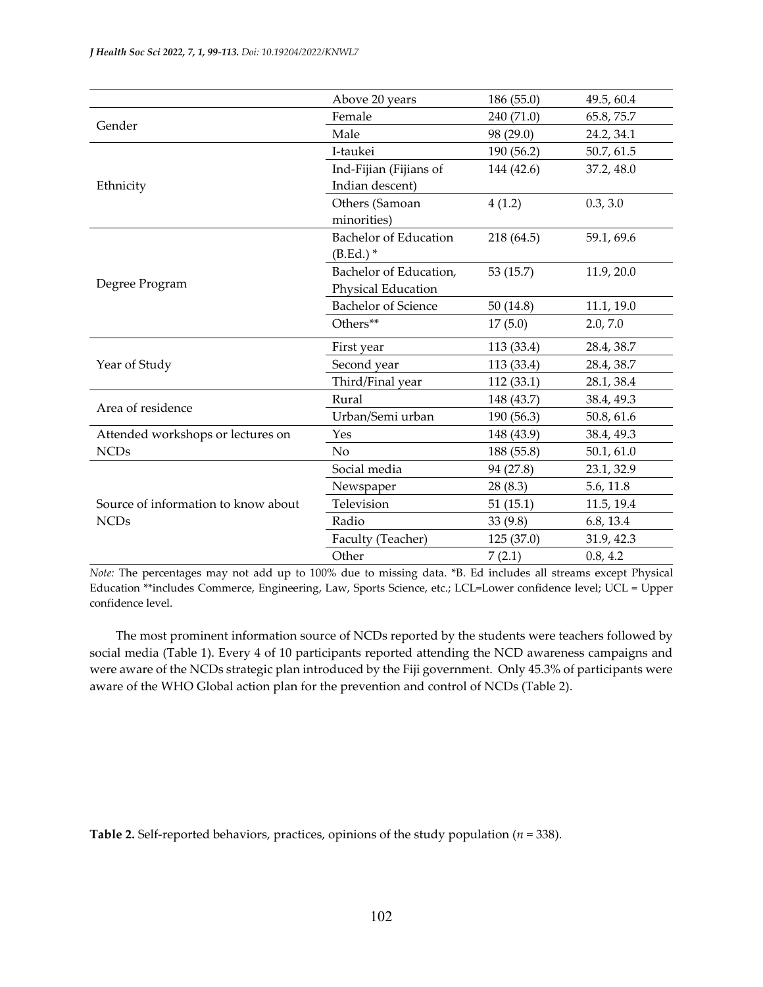|                                     | Above 20 years               | 186 (55.0) | 49.5, 60.4 |
|-------------------------------------|------------------------------|------------|------------|
| Gender                              | Female                       | 240 (71.0) | 65.8, 75.7 |
|                                     | Male                         | 98 (29.0)  | 24.2, 34.1 |
|                                     | I-taukei                     | 190 (56.2) | 50.7, 61.5 |
|                                     | Ind-Fijian (Fijians of       | 144 (42.6) | 37.2, 48.0 |
| Ethnicity                           | Indian descent)              |            |            |
|                                     | Others (Samoan               | 4(1.2)     | 0.3, 3.0   |
|                                     | minorities)                  |            |            |
|                                     | <b>Bachelor of Education</b> | 218 (64.5) | 59.1, 69.6 |
|                                     | $(B.Ed.)$ *                  |            |            |
|                                     | Bachelor of Education,       | 53 (15.7)  | 11.9, 20.0 |
| Degree Program                      | Physical Education           |            |            |
|                                     | <b>Bachelor of Science</b>   | 50(14.8)   | 11.1, 19.0 |
|                                     | Others**                     | 17(5.0)    | 2.0, 7.0   |
|                                     | First year                   | 113 (33.4) | 28.4, 38.7 |
| Year of Study                       | Second year                  | 113 (33.4) | 28.4, 38.7 |
|                                     | Third/Final year             | 112 (33.1) | 28.1, 38.4 |
| Area of residence                   | Rural                        | 148 (43.7) | 38.4, 49.3 |
|                                     | Urban/Semi urban             | 190 (56.3) | 50.8, 61.6 |
| Attended workshops or lectures on   | Yes                          | 148 (43.9) | 38.4, 49.3 |
| <b>NCDs</b>                         | N <sub>o</sub>               | 188 (55.8) | 50.1, 61.0 |
|                                     | Social media                 | 94 (27.8)  | 23.1, 32.9 |
|                                     | Newspaper                    | 28(8.3)    | 5.6, 11.8  |
| Source of information to know about | Television                   | 51(15.1)   | 11.5, 19.4 |
| <b>NCDs</b>                         | Radio                        | 33(9.8)    | 6.8, 13.4  |
|                                     | Faculty (Teacher)            | 125 (37.0) | 31.9, 42.3 |
|                                     | Other                        | 7(2.1)     | 0.8, 4.2   |

*Note:* The percentages may not add up to 100% due to missing data. \*B. Ed includes all streams except Physical Education \*\*includes Commerce, Engineering, Law, Sports Science, etc.; LCL=Lower confidence level; UCL = Upper confidence level.

The most prominent information source of NCDs reported by the students were teachers followed by social media (Table 1). Every 4 of 10 participants reported attending the NCD awareness campaigns and were aware of the NCDs strategic plan introduced by the Fiji government. Only 45.3% of participants were aware of the WHO Global action plan for the prevention and control of NCDs (Table 2).

**Table 2.** Self-reported behaviors, practices, opinions of the study population (*n* = 338).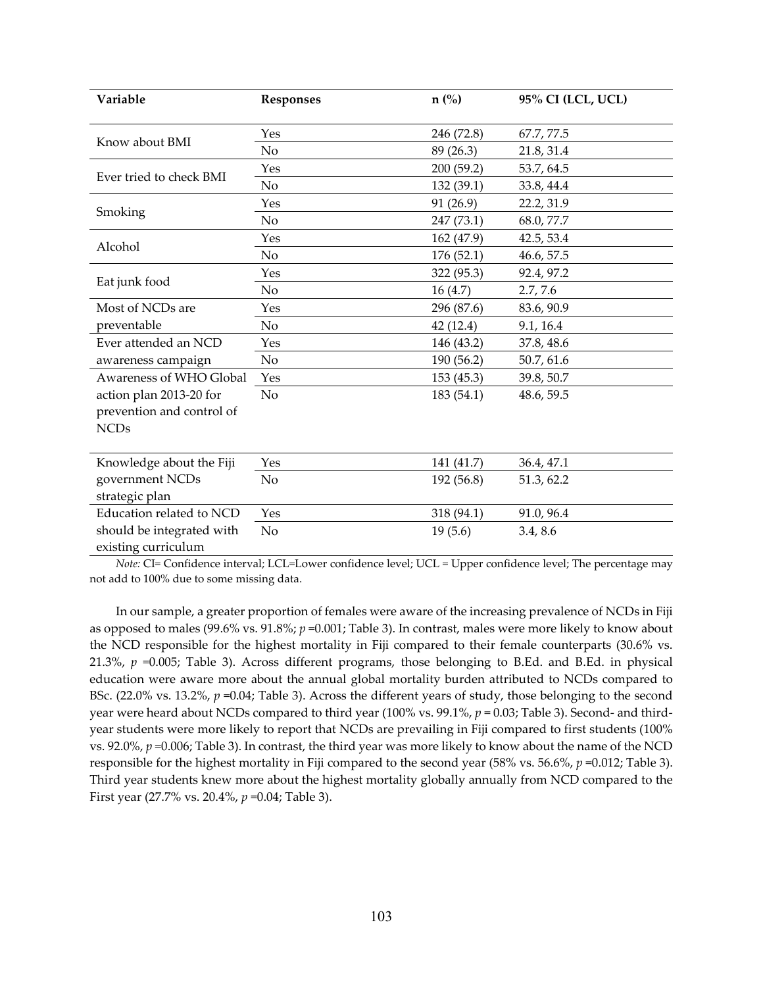| Variable                  | <b>Responses</b> | $n(^{0}_{0})$ | 95% CI (LCL, UCL) |
|---------------------------|------------------|---------------|-------------------|
|                           | Yes              | 246 (72.8)    | 67.7, 77.5        |
| Know about BMI            | N <sub>o</sub>   | 89 (26.3)     | 21.8, 31.4        |
|                           | Yes              | 200 (59.2)    | 53.7, 64.5        |
| Ever tried to check BMI   | N <sub>o</sub>   | 132 (39.1)    | 33.8, 44.4        |
|                           | Yes              | 91 (26.9)     | 22.2, 31.9        |
| Smoking                   | No               | 247 (73.1)    | 68.0, 77.7        |
|                           | Yes              | 162 (47.9)    | 42.5, 53.4        |
| Alcohol                   | No               | 176(52.1)     | 46.6, 57.5        |
|                           | Yes              | 322 (95.3)    | 92.4, 97.2        |
| Eat junk food             | No               | 16(4.7)       | 2.7, 7.6          |
| Most of NCDs are          | Yes              | 296 (87.6)    | 83.6, 90.9        |
| preventable               | N <sub>o</sub>   | 42(12.4)      | 9.1, 16.4         |
| Ever attended an NCD      | Yes              | 146 (43.2)    | 37.8, 48.6        |
| awareness campaign        | No               | 190 (56.2)    | 50.7, 61.6        |
| Awareness of WHO Global   | Yes              | 153(45.3)     | 39.8, 50.7        |
| action plan 2013-20 for   | No               | 183 (54.1)    | 48.6, 59.5        |
| prevention and control of |                  |               |                   |
| <b>NCDs</b>               |                  |               |                   |
| Knowledge about the Fiji  | Yes              | 141 (41.7)    | 36.4, 47.1        |
| government NCDs           | No               | 192 (56.8)    | 51.3, 62.2        |
| strategic plan            |                  |               |                   |
| Education related to NCD  | Yes              | 318 (94.1)    | 91.0, 96.4        |
| should be integrated with | No               | 19(5.6)       | 3.4, 8.6          |
| existing curriculum       |                  |               |                   |

*Note:* CI= Confidence interval; LCL=Lower confidence level; UCL = Upper confidence level; The percentage may not add to 100% due to some missing data.

In our sample, a greater proportion of females were aware of the increasing prevalence of NCDs in Fiji as opposed to males (99.6% vs. 91.8%; *p* =0.001; Table 3). In contrast, males were more likely to know about the NCD responsible for the highest mortality in Fiji compared to their female counterparts (30.6% vs. 21.3%, *p* =0.005; Table 3). Across different programs, those belonging to B.Ed. and B.Ed. in physical education were aware more about the annual global mortality burden attributed to NCDs compared to BSc. (22.0% vs. 13.2%,  $p = 0.04$ ; Table 3). Across the different years of study, those belonging to the second year were heard about NCDs compared to third year (100% vs. 99.1%, *p* = 0.03; Table 3). Second- and thirdyear students were more likely to report that NCDs are prevailing in Fiji compared to first students (100% vs. 92.0%, *p* =0.006; Table 3). In contrast, the third year was more likely to know about the name of the NCD responsible for the highest mortality in Fiji compared to the second year (58% vs. 56.6%, *p* =0.012; Table 3). Third year students knew more about the highest mortality globally annually from NCD compared to the First year (27.7% vs. 20.4%, *p* =0.04; Table 3).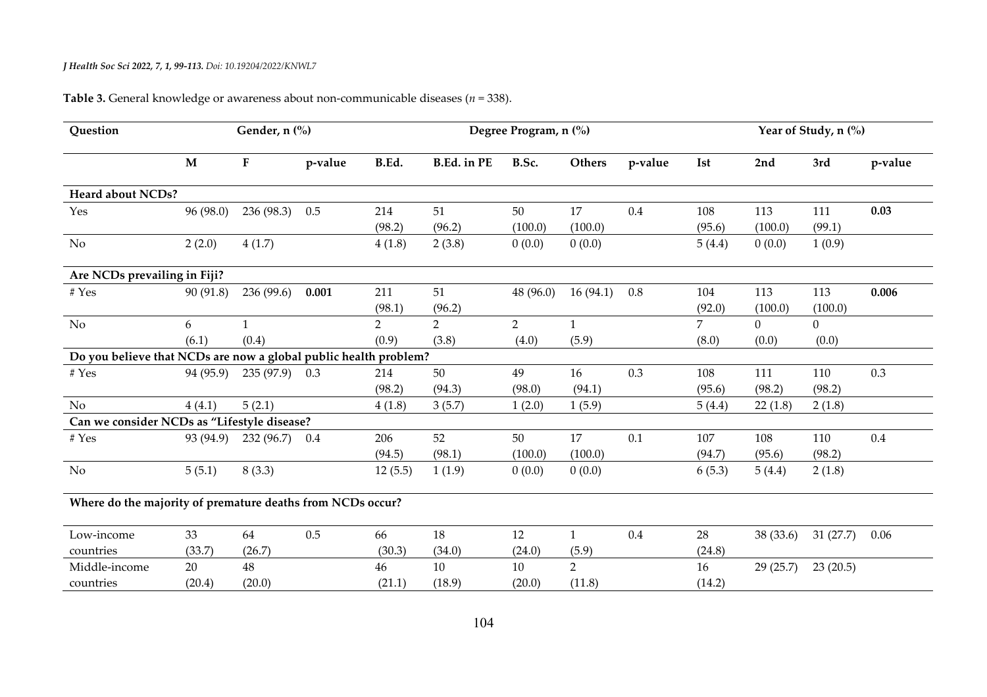| Question                                                         | Gender, n (%) |                 |         |                |                    | Degree Program, n (%) | Year of Study, n (%) |         |                |           |          |         |
|------------------------------------------------------------------|---------------|-----------------|---------|----------------|--------------------|-----------------------|----------------------|---------|----------------|-----------|----------|---------|
|                                                                  | $\mathbf{M}$  | $\mathbf F$     | p-value | B.Ed.          | <b>B.Ed.</b> in PE | B.Sc.                 | <b>Others</b>        | p-value | <b>Ist</b>     | 2nd       | 3rd      | p-value |
| Heard about NCDs?                                                |               |                 |         |                |                    |                       |                      |         |                |           |          |         |
| Yes                                                              | 96 (98.0)     | 236 (98.3)      | 0.5     | 214            | 51                 | 50                    | 17                   | 0.4     | 108            | 113       | 111      | 0.03    |
|                                                                  |               |                 |         | (98.2)         | (96.2)             | (100.0)               | (100.0)              |         | (95.6)         | (100.0)   | (99.1)   |         |
| No                                                               | 2(2.0)        | 4(1.7)          |         | 4(1.8)         | 2(3.8)             | 0(0.0)                | 0(0.0)               |         | 5(4.4)         | 0(0.0)    | 1(0.9)   |         |
| Are NCDs prevailing in Fiji?                                     |               |                 |         |                |                    |                       |                      |         |                |           |          |         |
| # Yes                                                            | 90(91.8)      | 236 (99.6)      | 0.001   | 211            | 51                 | 48 (96.0)             | 16(94.1)             | 0.8     | 104            | 113       | 113      | 0.006   |
|                                                                  |               |                 |         | (98.1)         | (96.2)             |                       |                      |         | (92.0)         | (100.0)   | (100.0)  |         |
| N <sub>o</sub>                                                   | 6             | $\mathbf{1}$    |         | $\overline{2}$ | $\overline{2}$     | $\overline{2}$        | $\mathbf{1}$         |         | $\overline{7}$ | $\Omega$  | $\Omega$ |         |
|                                                                  | (6.1)         | (0.4)           |         | (0.9)          | (3.8)              | (4.0)                 | (5.9)                |         | (8.0)          | (0.0)     | (0.0)    |         |
| Do you believe that NCDs are now a global public health problem? |               |                 |         |                |                    |                       |                      |         |                |           |          |         |
| # Yes                                                            | 94 (95.9)     | $235(97.9)$ 0.3 |         | 214            | 50                 | 49                    | 16                   | 0.3     | 108            | 111       | 110      | 0.3     |
|                                                                  |               |                 |         | (98.2)         | (94.3)             | (98.0)                | (94.1)               |         | (95.6)         | (98.2)    | (98.2)   |         |
| No                                                               | 4(4.1)        | 5(2.1)          |         | 4(1.8)         | 3(5.7)             | 1(2.0)                | 1(5.9)               |         | 5(4.4)         | 22(1.8)   | 2(1.8)   |         |
| Can we consider NCDs as "Lifestyle disease?                      |               |                 |         |                |                    |                       |                      |         |                |           |          |         |
| # Yes                                                            | 93 (94.9)     | 232(96.7)       | 0.4     | 206            | 52                 | 50                    | 17                   | 0.1     | 107            | 108       | 110      | 0.4     |
|                                                                  |               |                 |         | (94.5)         | (98.1)             | (100.0)               | (100.0)              |         | (94.7)         | (95.6)    | (98.2)   |         |
| <b>No</b>                                                        | 5(5.1)        | 8(3.3)          |         | 12(5.5)        | 1(1.9)             | 0(0.0)                | 0(0.0)               |         | 6(5.3)         | 5(4.4)    | 2(1.8)   |         |
| Where do the majority of premature deaths from NCDs occur?       |               |                 |         |                |                    |                       |                      |         |                |           |          |         |
| Low-income                                                       | 33            | 64              | 0.5     | 66             | 18                 | 12                    | $\mathbf{1}$         | 0.4     | 28             | 38 (33.6) | 31(27.7) | 0.06    |
| countries                                                        | (33.7)        | (26.7)          |         | (30.3)         | (34.0)             | (24.0)                | (5.9)                |         | (24.8)         |           |          |         |
| Middle-income                                                    | 20            | 48              |         | 46             | 10                 | 10                    | $\overline{2}$       |         | 16             | 29(25.7)  | 23(20.5) |         |
| countries                                                        | (20.4)        | (20.0)          |         | (21.1)         | (18.9)             | (20.0)                | (11.8)               |         | (14.2)         |           |          |         |

# **Table 3.** General knowledge or awareness about non-communicable diseases (*n* = 338).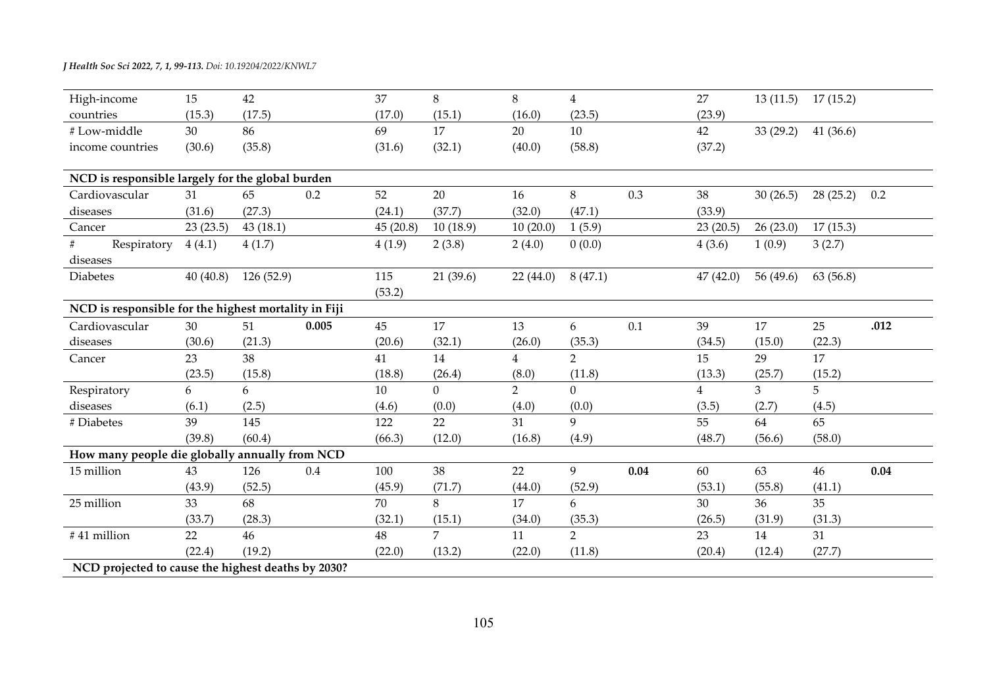| High-income                                          | 15       | 42         |       | 37       | 8              | 8              | $\overline{4}$ |      | 27             | 13(11.5)       | 17(15.2)  |      |
|------------------------------------------------------|----------|------------|-------|----------|----------------|----------------|----------------|------|----------------|----------------|-----------|------|
| countries                                            | (15.3)   | (17.5)     |       | (17.0)   | (15.1)         | (16.0)         | (23.5)         |      | (23.9)         |                |           |      |
| #Low-middle                                          | 30       | 86         |       | 69       | 17             | 20             | 10             |      | 42             | 33(29.2)       | 41(36.6)  |      |
| income countries                                     | (30.6)   | (35.8)     |       | (31.6)   | (32.1)         | (40.0)         | (58.8)         |      | (37.2)         |                |           |      |
| NCD is responsible largely for the global burden     |          |            |       |          |                |                |                |      |                |                |           |      |
| Cardiovascular                                       | 31       | 65         | 0.2   | 52       | 20             | 16             | 8              | 0.3  | 38             | 30(26.5)       | 28(25.2)  | 0.2  |
| diseases                                             | (31.6)   | (27.3)     |       | (24.1)   | (37.7)         | (32.0)         | (47.1)         |      | (33.9)         |                |           |      |
| Cancer                                               | 23(23.5) | 43(18.1)   |       | 45(20.8) | 10(18.9)       | 10(20.0)       | 1(5.9)         |      | 23(20.5)       | 26(23.0)       | 17(15.3)  |      |
| Respiratory                                          | 4(4.1)   | 4(1.7)     |       | 4(1.9)   | 2(3.8)         | 2(4.0)         | 0(0.0)         |      | 4(3.6)         | 1(0.9)         | 3(2.7)    |      |
| diseases                                             |          |            |       |          |                |                |                |      |                |                |           |      |
| Diabetes                                             | 40(40.8) | 126 (52.9) |       | 115      | 21(39.6)       | 22(44.0)       | 8(47.1)        |      | 47(42.0)       | 56 (49.6)      | 63 (56.8) |      |
|                                                      |          |            |       | (53.2)   |                |                |                |      |                |                |           |      |
| NCD is responsible for the highest mortality in Fiji |          |            |       |          |                |                |                |      |                |                |           |      |
| Cardiovascular                                       | 30       | 51         | 0.005 | 45       | 17             | 13             | 6              | 0.1  | 39             | 17             | 25        | .012 |
| diseases                                             | (30.6)   | (21.3)     |       | (20.6)   | (32.1)         | (26.0)         | (35.3)         |      | (34.5)         | (15.0)         | (22.3)    |      |
| Cancer                                               | 23       | 38         |       | 41       | 14             | $\overline{4}$ | $\overline{2}$ |      | 15             | 29             | 17        |      |
|                                                      | (23.5)   | (15.8)     |       | (18.8)   | (26.4)         | (8.0)          | (11.8)         |      | (13.3)         | (25.7)         | (15.2)    |      |
| Respiratory                                          | 6        | 6          |       | 10       | $\overline{0}$ | $\overline{2}$ | $\overline{0}$ |      | $\overline{4}$ | 3 <sup>1</sup> | 5         |      |
| diseases                                             | (6.1)    | (2.5)      |       | (4.6)    | (0.0)          | (4.0)          | (0.0)          |      | (3.5)          | (2.7)          | (4.5)     |      |
| # Diabetes                                           | 39       | 145        |       | 122      | 22             | 31             | 9              |      | 55             | 64             | 65        |      |
|                                                      | (39.8)   | (60.4)     |       | (66.3)   | (12.0)         | (16.8)         | (4.9)          |      | (48.7)         | (56.6)         | (58.0)    |      |
| How many people die globally annually from NCD       |          |            |       |          |                |                |                |      |                |                |           |      |
| 15 million                                           | 43       | 126        | 0.4   | 100      | 38             | 22             | 9              | 0.04 | 60             | 63             | 46        | 0.04 |
|                                                      | (43.9)   | (52.5)     |       | (45.9)   | (71.7)         | (44.0)         | (52.9)         |      | (53.1)         | (55.8)         | (41.1)    |      |
| 25 million                                           | 33       | 68         |       | 70       | 8              | 17             | 6              |      | 30             | 36             | 35        |      |
|                                                      | (33.7)   | (28.3)     |       | (32.1)   | (15.1)         | (34.0)         | (35.3)         |      | (26.5)         | (31.9)         | (31.3)    |      |
| #41 million                                          | 22       | 46         |       | 48       | $\overline{7}$ | 11             | $\overline{2}$ |      | 23             | 14             | 31        |      |
|                                                      | (22.4)   | (19.2)     |       | (22.0)   | (13.2)         | (22.0)         | (11.8)         |      | (20.4)         | (12.4)         | (27.7)    |      |
| NCD projected to cause the highest deaths by 2030?   |          |            |       |          |                |                |                |      |                |                |           |      |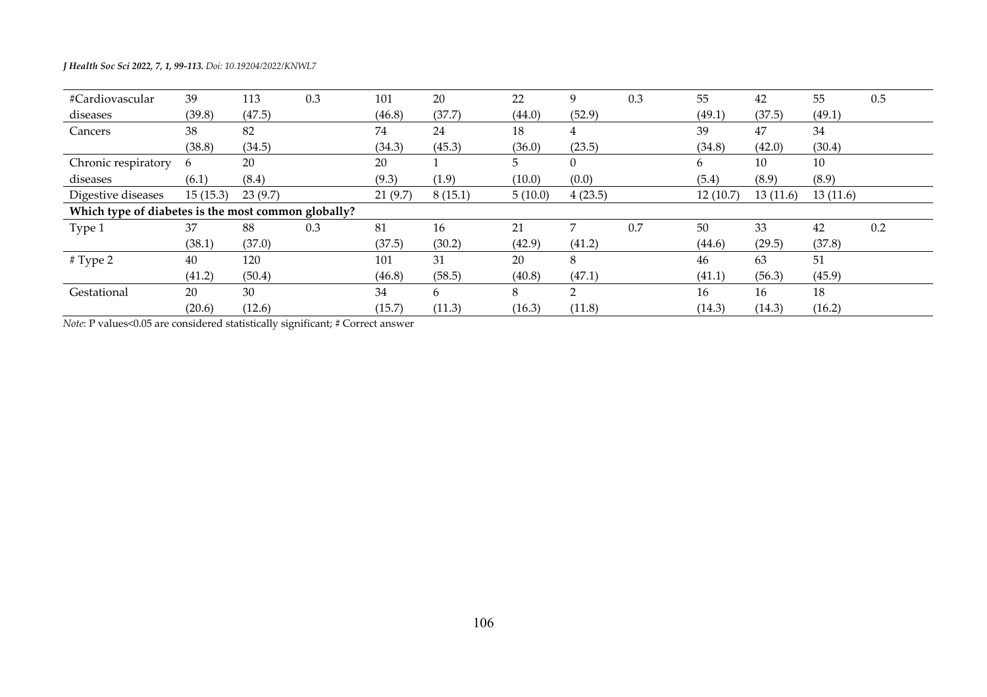| #Cardiovascular                                     | 39       | 113     | 0.3 | 101     | 20      | 22      | 9        | 0.3 | 55       | 42       | 55       | 0.5 |
|-----------------------------------------------------|----------|---------|-----|---------|---------|---------|----------|-----|----------|----------|----------|-----|
| diseases                                            | (39.8)   | (47.5)  |     | (46.8)  | (37.7)  | (44.0)  | (52.9)   |     | (49.1)   | (37.5)   | (49.1)   |     |
| Cancers                                             | 38       | 82      |     | 74      | 24      | 18      | 4        |     | 39       | 47       | 34       |     |
|                                                     | (38.8)   | (34.5)  |     | (34.3)  | (45.3)  | (36.0)  | (23.5)   |     | (34.8)   | (42.0)   | (30.4)   |     |
| Chronic respiratory                                 | 6        | 20      |     | 20      |         | 5.      | $\Omega$ |     | 6        | 10       | 10       |     |
| diseases                                            | (6.1)    | (8.4)   |     | (9.3)   | (1.9)   | (10.0)  | (0.0)    |     | (5.4)    | (8.9)    | (8.9)    |     |
| Digestive diseases                                  | 15(15.3) | 23(9.7) |     | 21(9.7) | 8(15.1) | 5(10.0) | 4(23.5)  |     | 12(10.7) | 13(11.6) | 13(11.6) |     |
| Which type of diabetes is the most common globally? |          |         |     |         |         |         |          |     |          |          |          |     |
| Type 1                                              | 37       | 88      | 0.3 | 81      | 16      | 21      | 7        | 0.7 | 50       | 33       | 42       | 0.2 |
|                                                     | (38.1)   | (37.0)  |     | (37.5)  | (30.2)  | (42.9)  | (41.2)   |     | (44.6)   | (29.5)   | (37.8)   |     |
| # Type 2                                            | 40       | 120     |     | 101     | 31      | 20      | 8        |     | 46       | 63       | 51       |     |
|                                                     | (41.2)   | (50.4)  |     | (46.8)  | (58.5)  | (40.8)  | (47.1)   |     | (41.1)   | (56.3)   | (45.9)   |     |
| Gestational                                         | 20       | 30      |     | 34      | 6       | 8       | 2        |     | 16       | 16       | 18       |     |
|                                                     | (20.6)   | (12.6)  |     | (15.7)  | (11.3)  | (16.3)  | (11.8)   |     | (14.3)   | (14.3)   | (16.2)   |     |

*Note*: P values<0.05 are considered statistically significant; # Correct answer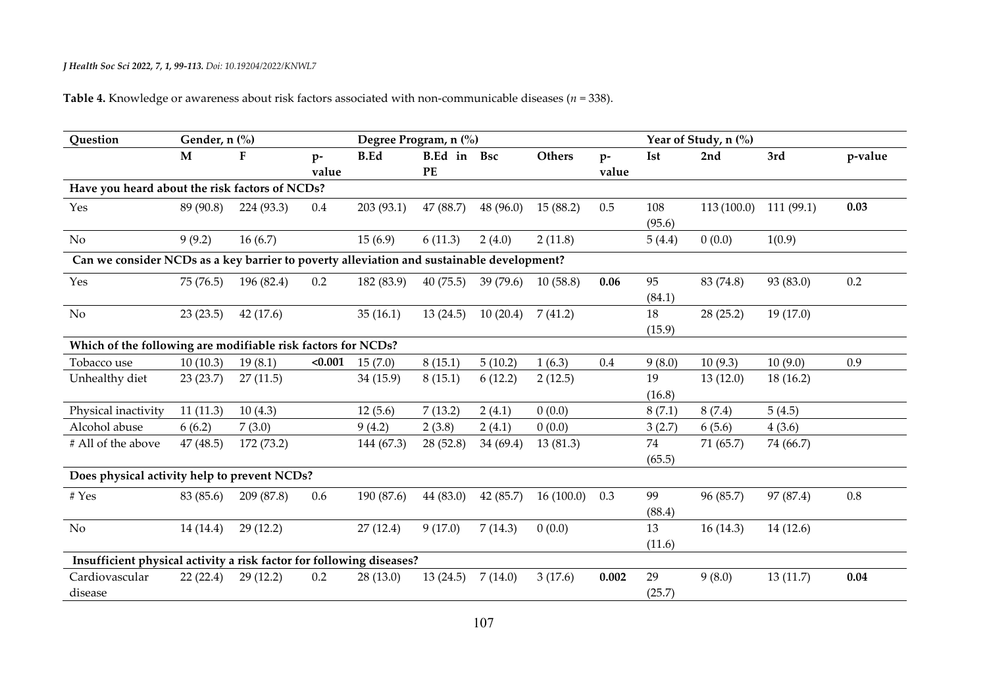# **Table 4.** Knowledge or awareness about risk factors associated with non-communicable diseases (*n* = 338).

| Question                                                                                  | Gender, n (%) |            |               | Degree Program, n (%) |                   |           |               |               | Year of Study, n (%) |            |           |         |
|-------------------------------------------------------------------------------------------|---------------|------------|---------------|-----------------------|-------------------|-----------|---------------|---------------|----------------------|------------|-----------|---------|
|                                                                                           | M             | F          | $p-$<br>value | <b>B.Ed</b>           | B.Ed in Bsc<br>PE |           | <b>Others</b> | $p-$<br>value | <b>Ist</b>           | 2nd        | 3rd       | p-value |
| Have you heard about the risk factors of NCDs?                                            |               |            |               |                       |                   |           |               |               |                      |            |           |         |
| Yes                                                                                       | 89 (90.8)     | 224 (93.3) | $0.4\,$       | 203 (93.1)            | 47 (88.7)         | 48(96.0)  | 15(88.2)      | 0.5           | 108<br>(95.6)        | 113(100.0) | 111(99.1) | 0.03    |
| No                                                                                        | 9(9.2)        | 16(6.7)    |               | 15(6.9)               | 6(11.3)           | 2(4.0)    | 2(11.8)       |               | 5(4.4)               | 0(0.0)     | 1(0.9)    |         |
| Can we consider NCDs as a key barrier to poverty alleviation and sustainable development? |               |            |               |                       |                   |           |               |               |                      |            |           |         |
| Yes                                                                                       | 75(76.5)      | 196 (82.4) | 0.2           | 182 (83.9)            | 40(75.5)          | 39(79.6)  | 10(58.8)      | 0.06          | 95<br>(84.1)         | 83 (74.8)  | 93 (83.0) | 0.2     |
| No                                                                                        | 23(23.5)      | 42(17.6)   |               | 35(16.1)              | 13(24.5)          | 10(20.4)  | 7(41.2)       |               | 18<br>(15.9)         | 28(25.2)   | 19(17.0)  |         |
| Which of the following are modifiable risk factors for NCDs?                              |               |            |               |                       |                   |           |               |               |                      |            |           |         |
| Tobacco use                                                                               | 10(10.3)      | 19(8.1)    | < 0.001       | 15(7.0)               | 8(15.1)           | 5(10.2)   | 1(6.3)        | 0.4           | 9(8.0)               | 10(9.3)    | 10(9.0)   | 0.9     |
| Unhealthy diet                                                                            | 23(23.7)      | 27(11.5)   |               | 34 (15.9)             | 8(15.1)           | 6(12.2)   | 2(12.5)       |               | 19<br>(16.8)         | 13(12.0)   | 18(16.2)  |         |
| Physical inactivity                                                                       | 11(11.3)      | 10(4.3)    |               | 12(5.6)               | 7(13.2)           | 2(4.1)    | 0(0.0)        |               | 8(7.1)               | 8(7.4)     | 5(4.5)    |         |
| Alcohol abuse                                                                             | 6(6.2)        | 7(3.0)     |               | 9(4.2)                | 2(3.8)            | 2(4.1)    | 0(0.0)        |               | 3(2.7)               | 6(5.6)     | 4(3.6)    |         |
| # All of the above                                                                        | 47 (48.5)     | 172 (73.2) |               | 144 (67.3)            | 28(52.8)          | 34 (69.4) | 13(81.3)      |               | 74<br>(65.5)         | 71(65.7)   | 74 (66.7) |         |
| Does physical activity help to prevent NCDs?                                              |               |            |               |                       |                   |           |               |               |                      |            |           |         |
| # Yes                                                                                     | 83 (85.6)     | 209 (87.8) | 0.6           | 190 (87.6)            | 44 (83.0)         | 42 (85.7) | 16(100.0)     | 0.3           | 99<br>(88.4)         | 96 (85.7)  | 97 (87.4) | 0.8     |
| $\rm No$                                                                                  | 14 (14.4)     | 29(12.2)   |               | 27(12.4)              | 9(17.0)           | 7(14.3)   | 0(0.0)        |               | 13<br>(11.6)         | 16(14.3)   | 14(12.6)  |         |
| Insufficient physical activity a risk factor for following diseases?                      |               |            |               |                       |                   |           |               |               |                      |            |           |         |
| Cardiovascular<br>disease                                                                 | 22(22.4)      | 29(12.2)   | 0.2           | 28 (13.0)             | 13(24.5)          | 7(14.0)   | 3(17.6)       | 0.002         | 29<br>(25.7)         | 9(8.0)     | 13(11.7)  | 0.04    |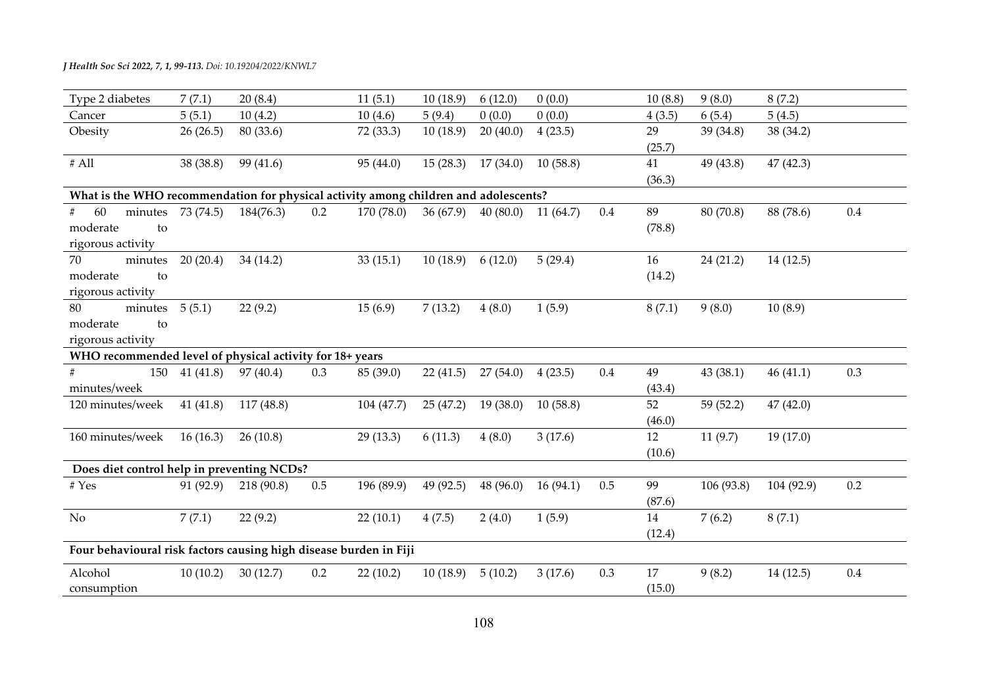| Type 2 diabetes                                                                      | 7(7.1)             | 20(8.4)    |     | 11(5.1)    | 10(18.9)  | 6(12.0)  | 0(0.0)   |         | 10(8.8)      | 9(8.0)     | 8(7.2)     |     |
|--------------------------------------------------------------------------------------|--------------------|------------|-----|------------|-----------|----------|----------|---------|--------------|------------|------------|-----|
| Cancer                                                                               | 5(5.1)             | 10(4.2)    |     | 10(4.6)    | 5(9.4)    | 0(0.0)   | 0(0.0)   |         | 4(3.5)       | 6(5.4)     | 5(4.5)     |     |
| Obesity                                                                              | 26(26.5)           | 80 (33.6)  |     | 72 (33.3)  | 10(18.9)  | 20(40.0) | 4(23.5)  |         | 29<br>(25.7) | 39(34.8)   | 38 (34.2)  |     |
| $\#$ All                                                                             | 38 (38.8)          | 99 (41.6)  |     | 95 (44.0)  | 15(28.3)  | 17(34.0) | 10(58.8) |         | 41<br>(36.3) | 49 (43.8)  | 47(42.3)   |     |
| What is the WHO recommendation for physical activity among children and adolescents? |                    |            |     |            |           |          |          |         |              |            |            |     |
| 60<br>#<br>moderate<br>to<br>rigorous activity                                       | minutes $73(74.5)$ | 184(76.3)  | 0.2 | 170 (78.0) | 36(67.9)  | 40(80.0) | 11(64.7) | $0.4\,$ | 89<br>(78.8) | 80 (70.8)  | 88 (78.6)  | 0.4 |
| 70<br>minutes<br>moderate<br>to<br>rigorous activity                                 | 20(20.4)           | 34 (14.2)  |     | 33(15.1)   | 10(18.9)  | 6(12.0)  | 5(29.4)  |         | 16<br>(14.2) | 24(21.2)   | 14(12.5)   |     |
| minutes $5(5.1)$<br>80<br>moderate<br>to<br>rigorous activity                        |                    | 22(9.2)    |     | 15(6.9)    | 7(13.2)   | 4(8.0)   | 1(5.9)   |         | 8(7.1)       | 9(8.0)     | 10(8.9)    |     |
| WHO recommended level of physical activity for 18+ years                             |                    |            |     |            |           |          |          |         |              |            |            |     |
| 150<br>minutes/week                                                                  | 41(41.8)           | 97(40.4)   | 0.3 | 85 (39.0)  | 22(41.5)  | 27(54.0) | 4(23.5)  | $0.4\,$ | 49<br>(43.4) | 43 (38.1)  | 46(41.1)   | 0.3 |
| 120 minutes/week                                                                     | 41(41.8)           | 117(48.8)  |     | 104(47.7)  | 25(47.2)  | 19(38.0) | 10(58.8) |         | 52<br>(46.0) | 59 (52.2)  | 47(42.0)   |     |
| 160 minutes/week                                                                     | 16(16.3)           | 26(10.8)   |     | 29 (13.3)  | 6(11.3)   | 4(8.0)   | 3(17.6)  |         | 12<br>(10.6) | 11(9.7)    | 19(17.0)   |     |
| Does diet control help in preventing NCDs?                                           |                    |            |     |            |           |          |          |         |              |            |            |     |
| $\#$ Yes                                                                             | 91 (92.9)          | 218 (90.8) | 0.5 | 196 (89.9) | 49 (92.5) | 48(96.0) | 16(94.1) | 0.5     | 99<br>(87.6) | 106 (93.8) | 104 (92.9) | 0.2 |
| No                                                                                   | 7(7.1)             | 22(9.2)    |     | 22(10.1)   | 4(7.5)    | 2(4.0)   | 1(5.9)   |         | 14<br>(12.4) | 7(6.2)     | 8(7.1)     |     |
| Four behavioural risk factors causing high disease burden in Fiji                    |                    |            |     |            |           |          |          |         |              |            |            |     |
| Alcohol<br>consumption                                                               | 10(10.2)           | 30(12.7)   | 0.2 | 22(10.2)   | 10(18.9)  | 5(10.2)  | 3(17.6)  | 0.3     | 17<br>(15.0) | 9(8.2)     | 14(12.5)   | 0.4 |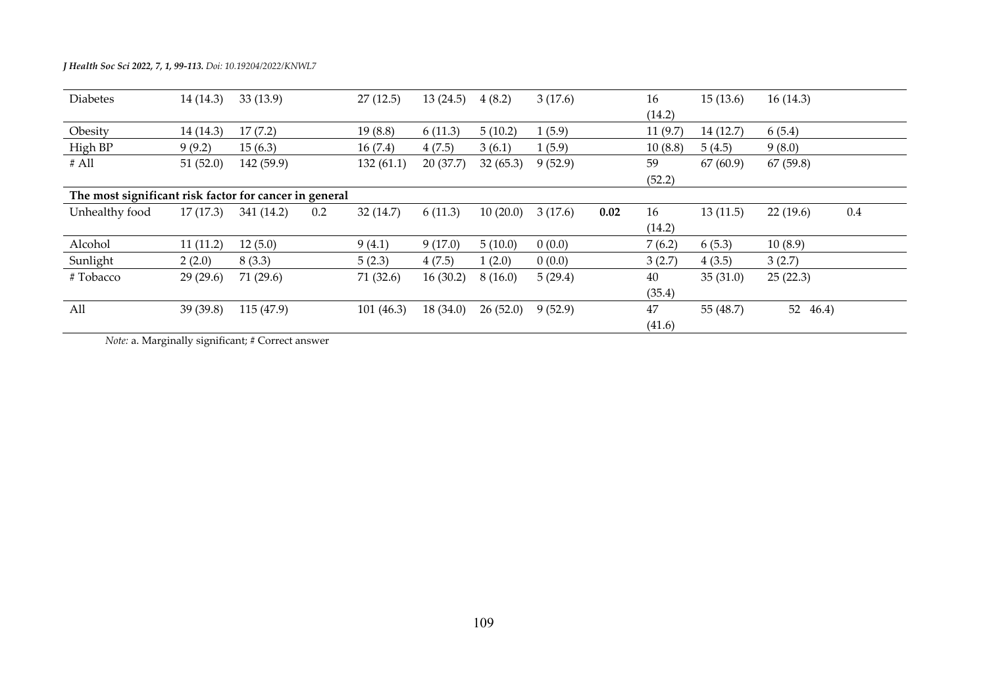|  |  |  | <b>J Health Soc Sci 2022, 7, 1, 99-113.</b> Doi: 10.19204/2022/KNWL7 |
|--|--|--|----------------------------------------------------------------------|
|--|--|--|----------------------------------------------------------------------|

| <b>Diabetes</b>                                        | 14 (14.3) | 33(13.9)   |     | 27(12.5)   | 13(24.5) | 4(8.2)   | 3(17.6) |      | 16      | 15(13.6)  | 16(14.3)    |     |
|--------------------------------------------------------|-----------|------------|-----|------------|----------|----------|---------|------|---------|-----------|-------------|-----|
|                                                        |           |            |     |            |          |          |         |      | (14.2)  |           |             |     |
| Obesity                                                | 14(14.3)  | 17(7.2)    |     | 19(8.8)    | 6(11.3)  | 5(10.2)  | (5.9)   |      | 11(9.7) | 14 (12.7) | 6(5.4)      |     |
| High BP                                                | 9(9.2)    | 15(6.3)    |     | 16(7.4)    | 4(7.5)   | 3(6.1)   | 1(5.9)  |      | 10(8.8) | 5(4.5)    | 9(8.0)      |     |
| # All                                                  | 51(52.0)  | 142 (59.9) |     | 132(61.1)  | 20(37.7) | 32(65.3) | 9(52.9) |      | 59      | 67(60.9)  | 67(59.8)    |     |
|                                                        |           |            |     |            |          |          |         |      | (52.2)  |           |             |     |
| The most significant risk factor for cancer in general |           |            |     |            |          |          |         |      |         |           |             |     |
| Unhealthy food                                         | 17(17.3)  | 341 (14.2) | 0.2 | 32(14.7)   | 6(11.3)  | 10(20.0) | 3(17.6) | 0.02 | 16      | 13(11.5)  | 22(19.6)    | 0.4 |
|                                                        |           |            |     |            |          |          |         |      | (14.2)  |           |             |     |
| Alcohol                                                | 11(11.2)  | 12(5.0)    |     | 9(4.1)     | 9(17.0)  | 5(10.0)  | 0(0.0)  |      | 7(6.2)  | 6(5.3)    | 10(8.9)     |     |
| Sunlight                                               | 2(2.0)    | 8(3.3)     |     | 5(2.3)     | 4(7.5)   | 1(2.0)   | 0(0.0)  |      | 3(2.7)  | 4(3.5)    | 3(2.7)      |     |
| #Tobacco                                               | 29(29.6)  | 71(29.6)   |     | 71 (32.6)  | 16(30.2) | 8(16.0)  | 5(29.4) |      | 40      | 35(31.0)  | 25(22.3)    |     |
|                                                        |           |            |     |            |          |          |         |      | (35.4)  |           |             |     |
| All                                                    | 39(39.8)  | 115 (47.9) |     | 101 (46.3) | 18(34.0) | 26(52.0) | 9(52.9) |      | 47      | 55 (48.7) | 46.4)<br>52 |     |
|                                                        |           |            |     |            |          |          |         |      | (41.6)  |           |             |     |

*Note:* a. Marginally significant; # Correct answer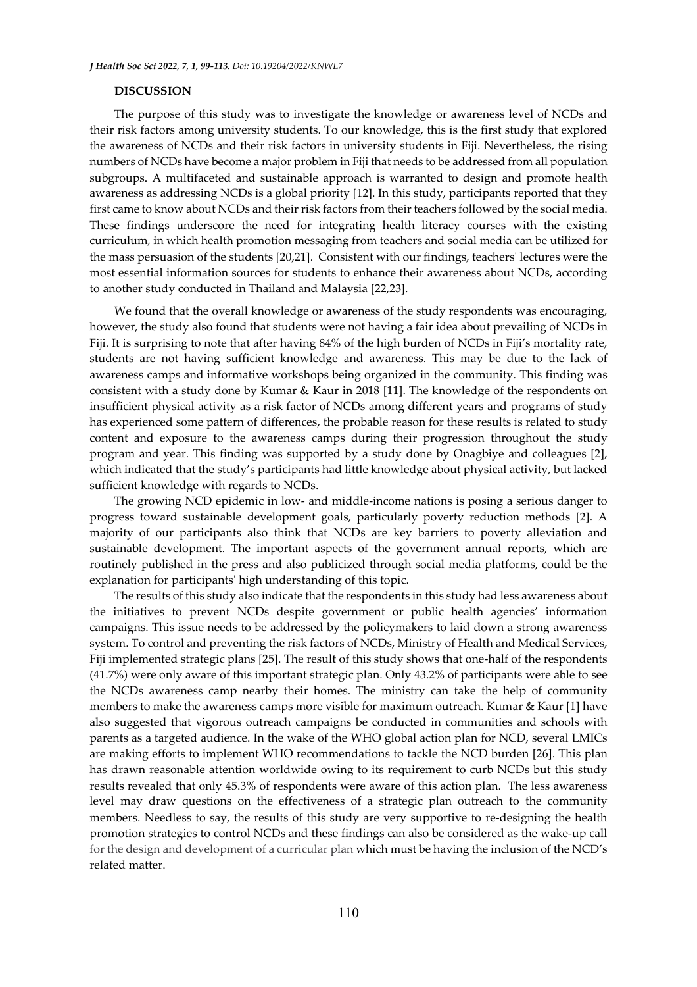## **DISCUSSION**

The purpose of this study was to investigate the knowledge or awareness level of NCDs and their risk factors among university students. To our knowledge, this is the first study that explored the awareness of NCDs and their risk factors in university students in Fiji. Nevertheless, the rising numbers of NCDs have become a major problem in Fiji that needs to be addressed from all population subgroups. A multifaceted and sustainable approach is warranted to design and promote health awareness as addressing NCDs is a global priority [12]. In this study, participants reported that they first came to know about NCDs and their risk factors from their teachers followed by the social media. These findings underscore the need for integrating health literacy courses with the existing curriculum, in which health promotion messaging from teachers and social media can be utilized for the mass persuasion of the students [20,21]. Consistent with our findings, teachers' lectures were the most essential information sources for students to enhance their awareness about NCDs, according to another study conducted in Thailand and Malaysia [22,23].

We found that the overall knowledge or awareness of the study respondents was encouraging, however, the study also found that students were not having a fair idea about prevailing of NCDs in Fiji. It is surprising to note that after having 84% of the high burden of NCDs in Fiji's mortality rate, students are not having sufficient knowledge and awareness. This may be due to the lack of awareness camps and informative workshops being organized in the community. This finding was consistent with a study done by Kumar & Kaur in 2018 [11]. The knowledge of the respondents on insufficient physical activity as a risk factor of NCDs among different years and programs of study has experienced some pattern of differences, the probable reason for these results is related to study content and exposure to the awareness camps during their progression throughout the study program and year. This finding was supported by a study done by Onagbiye and colleagues [2], which indicated that the study's participants had little knowledge about physical activity, but lacked sufficient knowledge with regards to NCDs.

The growing NCD epidemic in low- and middle-income nations is posing a serious danger to progress toward sustainable development goals, particularly poverty reduction methods [2]. A majority of our participants also think that NCDs are key barriers to poverty alleviation and sustainable development. The important aspects of the government annual reports, which are routinely published in the press and also publicized through social media platforms, could be the explanation for participants' high understanding of this topic.

The results of this study also indicate that the respondents in this study had less awareness about the initiatives to prevent NCDs despite government or public health agencies' information campaigns. This issue needs to be addressed by the policymakers to laid down a strong awareness system. To control and preventing the risk factors of NCDs, Ministry of Health and Medical Services, Fiji implemented strategic plans [25]. The result of this study shows that one-half of the respondents (41.7%) were only aware of this important strategic plan. Only 43.2% of participants were able to see the NCDs awareness camp nearby their homes. The ministry can take the help of community members to make the awareness camps more visible for maximum outreach. Kumar & Kaur [1] have also suggested that vigorous outreach campaigns be conducted in communities and schools with parents as a targeted audience. In the wake of the WHO global action plan for NCD, several LMICs are making efforts to implement WHO recommendations to tackle the NCD burden [26]. This plan has drawn reasonable attention worldwide owing to its requirement to curb NCDs but this study results revealed that only 45.3% of respondents were aware of this action plan. The less awareness level may draw questions on the effectiveness of a strategic plan outreach to the community members. Needless to say, the results of this study are very supportive to re-designing the health promotion strategies to control NCDs and these findings can also be considered as the wake-up call for the design and development of a curricular plan which must be having the inclusion of the NCD's related matter.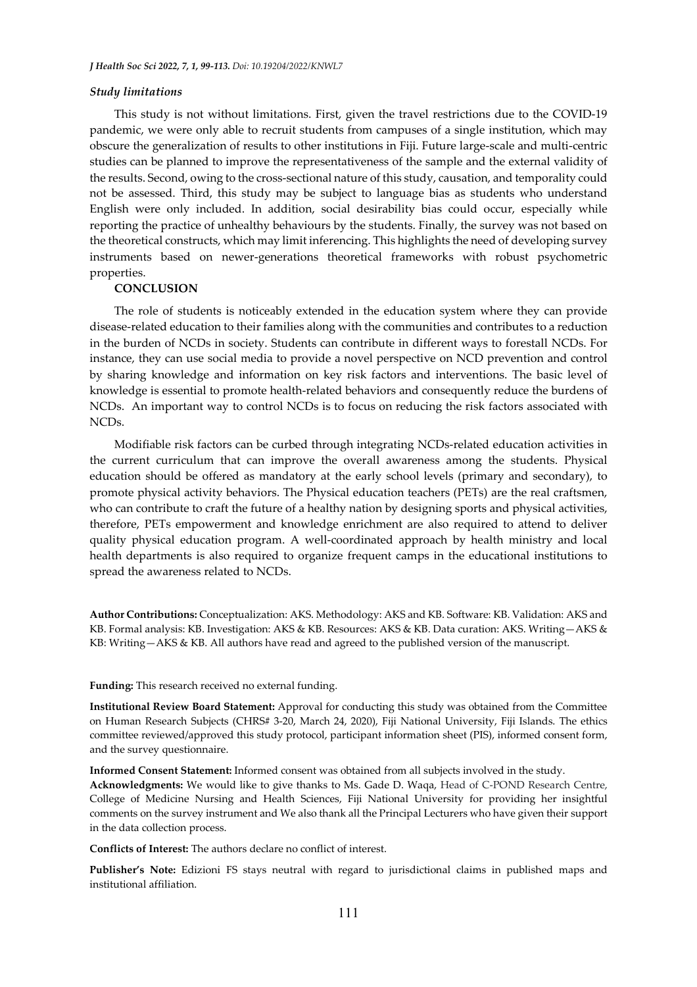#### *Study limitations*

This study is not without limitations. First, given the travel restrictions due to the COVID-19 pandemic, we were only able to recruit students from campuses of a single institution, which may obscure the generalization of results to other institutions in Fiji. Future large-scale and multi-centric studies can be planned to improve the representativeness of the sample and the external validity of the results. Second, owing to the cross-sectional nature of this study, causation, and temporality could not be assessed. Third, this study may be subject to language bias as students who understand English were only included. In addition, social desirability bias could occur, especially while reporting the practice of unhealthy behaviours by the students. Finally, the survey was not based on the theoretical constructs, which may limit inferencing. This highlights the need of developing survey instruments based on newer-generations theoretical frameworks with robust psychometric properties.

## **CONCLUSION**

The role of students is noticeably extended in the education system where they can provide disease-related education to their families along with the communities and contributes to a reduction in the burden of NCDs in society. Students can contribute in different ways to forestall NCDs. For instance, they can use social media to provide a novel perspective on NCD prevention and control by sharing knowledge and information on key risk factors and interventions. The basic level of knowledge is essential to promote health-related behaviors and consequently reduce the burdens of NCDs. An important way to control NCDs is to focus on reducing the risk factors associated with NCDs.

Modifiable risk factors can be curbed through integrating NCDs-related education activities in the current curriculum that can improve the overall awareness among the students. Physical education should be offered as mandatory at the early school levels (primary and secondary), to promote physical activity behaviors. The Physical education teachers (PETs) are the real craftsmen, who can contribute to craft the future of a healthy nation by designing sports and physical activities, therefore, PETs empowerment and knowledge enrichment are also required to attend to deliver quality physical education program. A well-coordinated approach by health ministry and local health departments is also required to organize frequent camps in the educational institutions to spread the awareness related to NCDs.

**Author Contributions:** Conceptualization: AKS. Methodology: AKS and KB. Software: KB. Validation: AKS and KB. Formal analysis: KB. Investigation: AKS & KB. Resources: AKS & KB. Data curation: AKS. Writing—AKS & KB: Writing—AKS & KB. All authors have read and agreed to the published version of the manuscript.

**Funding:** This research received no external funding.

**Institutional Review Board Statement:** Approval for conducting this study was obtained from the Committee on Human Research Subjects (CHRS# 3-20, March 24, 2020), Fiji National University, Fiji Islands. The ethics committee reviewed/approved this study protocol, participant information sheet (PIS), informed consent form, and the survey questionnaire.

**Informed Consent Statement:** Informed consent was obtained from all subjects involved in the study.

**Acknowledgments:** We would like to give thanks to Ms. Gade D. Waqa, Head of C-POND Research Centre, College of Medicine Nursing and Health Sciences, Fiji National University for providing her insightful comments on the survey instrument and We also thank all the Principal Lecturers who have given their support in the data collection process.

**Conflicts of Interest:** The authors declare no conflict of interest.

**Publisher's Note:** Edizioni FS stays neutral with regard to jurisdictional claims in published maps and institutional affiliation.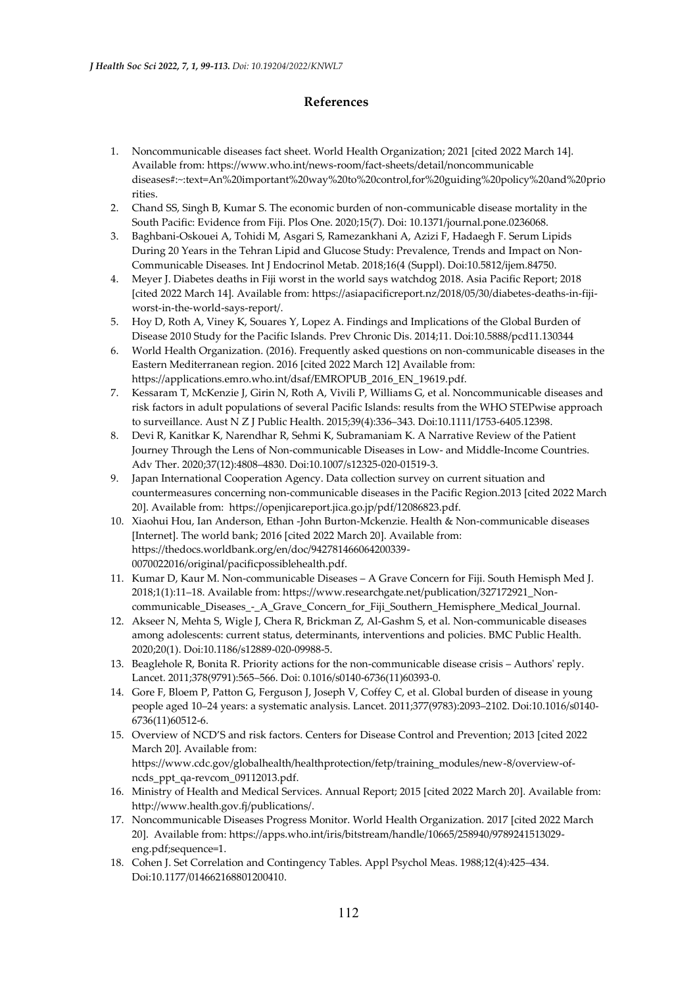## **References**

- 1. Noncommunicable diseases fact sheet. World Health Organization; 2021 [cited 2022 March 14]. Available from: [https://www.who.int/news-room/fact-sheets/detail/noncommunicable](https://www.who.int/news-room/fact-sheets/detail/noncommunicable%20%20diseases#:~:text=An%20important%20way%20to%20control,for%20guiding%20policy%20and%20priorities)  [diseases#:~:text=An%20important%20way%20to%20control,for%20guiding%20policy%20and%20prio](https://www.who.int/news-room/fact-sheets/detail/noncommunicable%20%20diseases#:~:text=An%20important%20way%20to%20control,for%20guiding%20policy%20and%20priorities) [rities.](https://www.who.int/news-room/fact-sheets/detail/noncommunicable%20%20diseases#:~:text=An%20important%20way%20to%20control,for%20guiding%20policy%20and%20priorities)
- 2. Chand SS, Singh B, Kumar S. The economic burden of non-communicable disease mortality in the South Pacific: Evidence from Fiji. Plos One. 2020;15(7). Doi: [10.1371/journal.pone.0236068.](https://doi.org/10.1371/journal.pone.0236068)
- 3. Baghbani-Oskouei A, Tohidi M, Asgari S, Ramezankhani A, Azizi F, Hadaegh F. Serum Lipids During 20 Years in the Tehran Lipid and Glucose Study: Prevalence, Trends and Impact on Non-Communicable Diseases. Int J Endocrinol Metab. 2018;16(4 (Suppl). Doi:10.5812/ijem.84750.
- 4. Meyer J. Diabetes deaths in Fiji worst in the world says watchdog 2018. Asia Pacific Report; 2018 [cited 2022 March 14]. Available from[: https://asiapacificreport.nz/2018/05/30/diabetes-deaths-in-fiji](https://asiapacificreport.nz/2018/05/30/diabetes-deaths-in-fiji-worst-in-the-world-says-report/)[worst-in-the-world-says-report/.](https://asiapacificreport.nz/2018/05/30/diabetes-deaths-in-fiji-worst-in-the-world-says-report/)
- 5. Hoy D, Roth A, Viney K, Souares Y, Lopez A. Findings and Implications of the Global Burden of Disease 2010 Study for the Pacific Islands. Prev Chronic Dis. 2014;11. [Doi:10.5888/pcd11.130344](https://doi.org/10.5888/pcd11.130344)
- 6. World Health Organization. (2016). Frequently asked questions on non-communicable diseases in the Eastern Mediterranean region. 2016 [cited 2022 March 12] Available from: [https://applications.emro.who.int/dsaf/EMROPUB\\_2016\\_EN\\_19619.pdf.](https://applications.emro.who.int/dsaf/EMROPUB_2016_EN_19619.pdf)
- 7. Kessaram T, McKenzie J, Girin N, Roth A, Vivili P, Williams G, et al. Noncommunicable diseases and risk factors in adult populations of several Pacific Islands: results from the WHO STEPwise approach to surveillance. Aust N Z J Public Health. 2015;39(4):336–343. [Doi:10.1111/1753-6405.12398.](https://doi.org/10.1111/1753-6405.12398)
- 8. Devi R, Kanitkar K, Narendhar R, Sehmi K, Subramaniam K. A Narrative Review of the Patient Journey Through the Lens of Non-communicable Diseases in Low- and Middle-Income Countries. Adv Ther. 2020;37(12):4808–4830. Doi:10.1007/s12325-020-01519-3.
- 9. Japan International Cooperation Agency. Data collection survey on current situation and countermeasures concerning non-communicable diseases in the Pacific Region.2013 [cited 2022 March 20]. Available from: https://openjicareport.jica.go.jp/pdf/12086823.pdf.
- 10. Xiaohui Hou, Ian Anderson, Ethan -John Burton-Mckenzie. Health & Non-communicable diseases [Internet]. The world bank; 2016 [cited 2022 March 20]. Available from: https://thedocs.worldbank.org/en/doc/942781466064200339- 0070022016/original/pacificpossiblehealth.pdf.
- 11. Kumar D, Kaur M. Non-communicable Diseases A Grave Concern for Fiji. South Hemisph Med J. 2018;1(1):11–18. Available from: [https://www.researchgate.net/publication/327172921\\_Non](https://www.researchgate.net/publication/327172921_Non-communicable_Diseases_-_A_Grave_Concern_for_Fiji_Southern_Hemisphere_Medical_Journal)[communicable\\_Diseases\\_-\\_A\\_Grave\\_Concern\\_for\\_Fiji\\_Southern\\_Hemisphere\\_Medical\\_Journal.](https://www.researchgate.net/publication/327172921_Non-communicable_Diseases_-_A_Grave_Concern_for_Fiji_Southern_Hemisphere_Medical_Journal)
- 12. Akseer N, Mehta S, Wigle J, Chera R, Brickman Z, Al-Gashm S, et al. Non-communicable diseases among adolescents: current status, determinants, interventions and policies. BMC Public Health. 2020;20(1). Doi:10.1186/s12889-020-09988-5.
- 13. Beaglehole R, Bonita R. Priority actions for the non-communicable disease crisis Authors' reply. Lancet. 2011;378(9791):565–566. Doi: 0.1016/s0140-6736(11)60393-0.
- 14. Gore F, Bloem P, Patton G, Ferguson J, Joseph V, Coffey C, et al. Global burden of disease in young people aged 10–24 years: a systematic analysis. Lancet. 2011;377(9783):2093–2102. [Doi:10.1016/s0140-](https://doi.org/10.1016/s0140-6736(11)60512-6) [6736\(11\)60512-6.](https://doi.org/10.1016/s0140-6736(11)60512-6)
- 15. Overview of NCD'S and risk factors. Centers for Disease Control and Prevention; 2013 [cited 2022 March 20]. Available from: https://www.cdc.gov/globalhealth/healthprotection/fetp/training\_modules/new-8/overview-ofncds\_ppt\_qa-revcom\_09112013.pdf.
- 16. Ministry of Health and Medical Services. Annual Report; 2015 [cited 2022 March 20]. Available from: http://www.health.gov.fj/publications/.
- 17. Noncommunicable Diseases Progress Monitor. World Health Organization. 2017 [cited 2022 March 20]. Available from: [https://apps.who.int/iris/bitstream/handle/10665/258940/9789241513029](https://apps.who.int/iris/bitstream/handle/10665/258940/9789241513029-eng.pdf;sequence=1) [eng.pdf;sequence=1.](https://apps.who.int/iris/bitstream/handle/10665/258940/9789241513029-eng.pdf;sequence=1)
- 18. Cohen J. Set Correlation and Contingency Tables. Appl Psychol Meas. 1988;12(4):425–434. Doi:10.1177/014662168801200410.